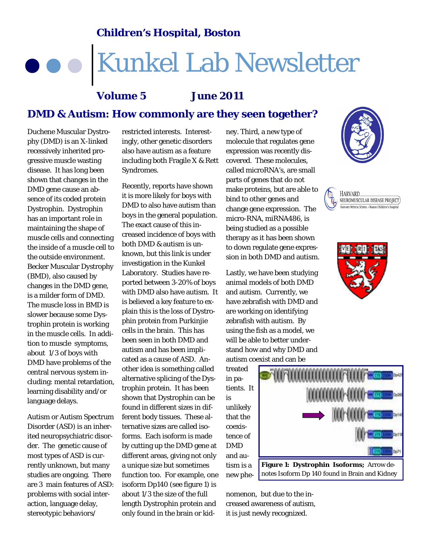#### **Children's Hospital, Boston**

# Kunkel Lab Newsletter

### **DMD & Autism: How commonly are they seen together? Volume 5 June 2011**

Duchene Muscular Dystrophy (DMD) is an X-linked recessively inherited progressive muscle wasting disease. It has long been shown that changes in the DMD gene cause an absence of its coded protein Dystrophin. Dystrophin has an important role in maintaining the shape of muscle cells and connecting the inside of a muscle cell to the outside environment. Becker Muscular Dystrophy (BMD), also caused by changes in the DMD gene, is a milder form of DMD. The muscle loss in BMD is slower because some Dystrophin protein is working in the muscle cells. In addition to muscle symptoms, about 1/3 of boys with DMD have problems of the central nervous system including: mental retardation, learning disability and/or language delays.

Autism or Autism Spectrum Disorder (ASD) is an inherited neuropsychiatric disorder. The genetic cause of most types of ASD is currently unknown, but many studies are ongoing. There are 3 main features of ASD: problems with social interaction, language delay, stereotypic behaviors/

restricted interests. Interestingly, other genetic disorders also have autism as a feature including both Fragile X & Rett Syndromes.

Recently, reports have shown it is more likely for boys with DMD to also have autism than boys in the general population. The exact cause of this increased incidence of boys with both DMD & autism is unknown, but this link is under investigation in the Kunkel Laboratory. Studies have reported between 3-20% of boys with DMD also have autism. It is believed a key feature to explain this is the loss of Dystrophin protein from Purkinjie cells in the brain. This has been seen in both DMD and autism and has been implicated as a cause of ASD. Another idea is something called alternative splicing of the Dystrophin protein. It has been shown that Dystrophin can be found in different sizes in different body tissues. These alternative sizes are called isoforms. Each isoform is made by cutting up the DMD gene at different areas, giving not only a unique size but sometimes function too. For example, one isoform Dp140 (see figure 1) is about 1/3 the size of the full length Dystrophin protein and only found in the brain or kidney. Third, a new type of molecule that regulates gene expression was recently discovered. These molecules, called microRNA's, are small parts of genes that do not make proteins, but are able to bind to other genes and change gene expression. The micro-RNA, miRNA486, is being studied as a possible therapy as it has been shown to down regulate gene expression in both DMD and autism.

Lastly, we have been studying animal models of both DMD and autism. Currently, we have zebrafish with DMD and are working on identifying zebrafish with autism. By using the fish as a model, we will be able to better understand how and why DMD and autism coexist and can be

treated in patients. It is unlikely that the coexistence of DMD and autism is a new phe-









nomenon, but due to the increased awareness of autism, it is just newly recognized.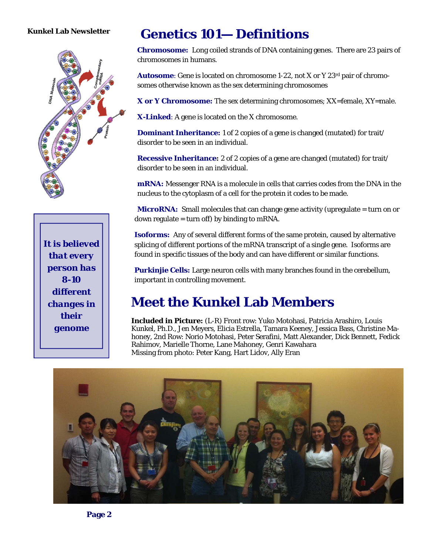#### **Kunkel Lab Newsletter**



*It is believed that every person has 8-10 different changes in their genome* 

# **Genetics 101— Definitions**

**Chromosome:** Long coiled strands of DNA containing genes. There are 23 pairs of chromosomes in humans.

**Autosome**: Gene is located on chromosome 1-22, not X or Y 23rd pair of chromosomes otherwise known as the sex determining chromosomes

**X or Y Chromosome:** The sex determining chromosomes; XX=female, XY=male.

**X-Linked**: A gene is located on the X chromosome.

**Dominant Inheritance:** 1 of 2 copies of a gene is changed (mutated) for trait/ disorder to be seen in an individual.

**Recessive Inheritance:** 2 of 2 copies of a gene are changed (mutated) for trait/ disorder to be seen in an individual.

**mRNA:** Messenger RNA is a molecule in cells that carries codes from the DNA in the nucleus to the cytoplasm of a cell for the protein it codes to be made.

**MicroRNA:** Small molecules that can change gene activity (upregulate = turn on or down regulate  $=$  turn off) by binding to mRNA.

**Isoforms:** Any of several different forms of the same protein, caused by alternative splicing of different portions of the mRNA transcript of a single gene. Isoforms are found in specific tissues of the body and can have different or similar functions.

**Purkinjie Cells:** Large neuron cells with many branches found in the cerebellum, important in controlling movement.

### **Meet the Kunkel Lab Members**

**Included in Picture:** (L-R) Front row: Yuko Motohasi, Patricia Arashiro, Louis Kunkel, Ph.D., Jen Meyers, Elicia Estrella, Tamara Keeney, Jessica Bass, Christine Mahoney, 2nd Row: Norio Motohasi, Peter Serafini, Matt Alexander, Dick Bennett, Fedick Rahimov, Marielle Thorne, Lane Mahoney, Genri Kawahara Missing from photo: Peter Kang, Hart Lidov, Ally Eran

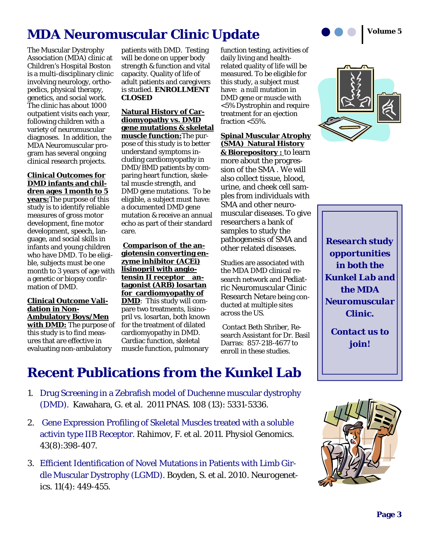

The Muscular Dystrophy Association (MDA) clinic at Children's Hospital Boston is a multi-disciplinary clinic involving neurology, orthopedics, physical therapy, genetics, and social work. The clinic has about 1000 outpatient visits each year, following children with a variety of neuromuscular diagnoses. In addition, the MDA Neuromuscular program has several ongoing clinical research projects.

#### **Clinical Outcomes for DMD infants and children ages 1 month to 5**

**years:**The purpose of this study is to identify reliable measures of gross motor development, fine motor development, speech, language, and social skills in infants and young children who have DMD. To be eligible, subjects must be one month to 3 years of age with a genetic or biopsy confirmation of DMD.

#### **Clinical Outcome Validation in Non-Ambulatory Boys/Men with DMD:** The purpose of this study is to find measures that are effective in evaluating non-ambulatory

patients with DMD. Testing will be done on upper body strength & function and vital capacity. Quality of life of adult patients and caregivers is studied. **ENROLLMENT CLOSED** 

#### **Natural History of Cardiomyopathy vs. DMD gene mutations & skeletal**

**muscle function:**The purpose of this study is to better understand symptoms including cardiomyopathy in DMD/BMD patients by comparing heart function, skeletal muscle strength, and DMD gene mutations. To be eligible, a subject must have: a documented DMD gene mutation & receive an annual echo as part of their standard care.

**Comparison of the angiotensin converting enzyme inhibitor (ACEi) lisinopril with angiotensin II receptor antagonist (ARB) losartan for cardiomyopathy of DMD**: This study will compare two treatments, lisinopril vs. losartan, both known for the treatment of dilated cardiomyopathy in DMD. Cardiac function, skeletal muscle function, pulmonary

function testing, activities of daily living and healthrelated quality of life will be measured. To be eligible for this study, a subject must have: a null mutation in DMD gene or muscle with <5% Dystrophin and require treatment for an ejection fraction <55%.

#### **Spinal Muscular Atrophy (SMA) Natural History & Biorepository :** to learn more about the progression of the SMA . We will also collect tissue, blood, urine, and cheek cell samples from individuals with SMA and other neuromuscular diseases. To give researchers a bank of samples to study the pathogenesis of SMA and other related diseases.

Studies are associated with the MDA DMD clinical research network and Pediatric Neuromuscular Clinic Research Netare being conducted at multiple sites across the US.

 Contact Beth Shriber, Research Assistant for Dr. Basil Darras: 857-218-4677 to enroll in these studies.



*Research study opportunities in both the Kunkel Lab and the MDA Neuromuscular Clinic.* 

*Contact us to join!* 

## **Recent Publications from the Kunkel Lab**

- 1. Drug Screening in a Zebrafish model of Duchenne muscular dystrophy (DMD). Kawahara, G. et al. 2011 *PNAS.* 108 (13): 5331-5336.
- 2. Gene Expression Profiling of Skeletal Muscles treated with a soluble activin type IIB Receptor. Rahimov, F. et al. 2011. *Physiol Genomics.*  43(8):398-407.
- 3. Efficient Identification of Novel Mutations in Patients with Limb Girdle Muscular Dystrophy (LGMD). Boyden, S. et al. 2010. *Neurogenetics.* 11(4): 449-455.